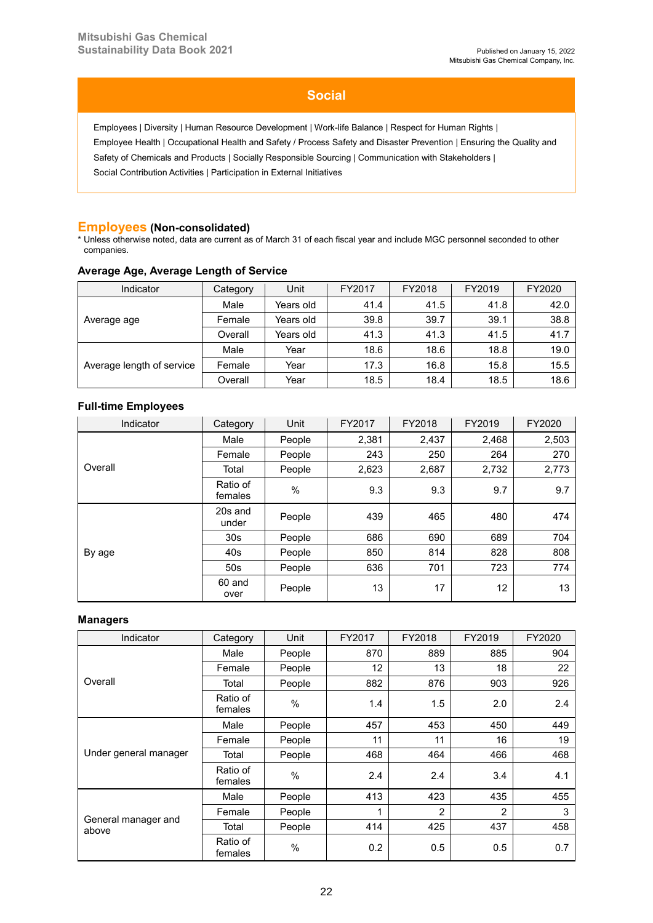# **Social**

Employees | Diversity | Human Resource Development | Work-life Balance | Respect for Human Rights | Employee Health | Occupational Health and Safety / Process Safety and Disaster Prevention | Ensuring the Quality and Safety of Chemicals and Products | Socially Responsible Sourcing | Communication with Stakeholders |

Social Contribution Activities | Participation in External Initiatives

## **Employees (Non-consolidated)**

\* Unless otherwise noted, data are current as of March 31 of each fiscal year and include MGC personnel seconded to other companies.

| Indicator                 | Category | Unit      | FY2017 | FY2018 | FY2019 | FY2020 |
|---------------------------|----------|-----------|--------|--------|--------|--------|
| Average age               | Male     | Years old | 41.4   | 41.5   | 41.8   | 42.0   |
|                           | Female   | Years old | 39.8   | 39.7   | 39.1   | 38.8   |
|                           | Overall  | Years old | 41.3   | 41.3   | 41.5   | 41.7   |
| Average length of service | Male     | Year      | 18.6   | 18.6   | 18.8   | 19.0   |
|                           | Female   | Year      | 17.3   | 16.8   | 15.8   | 15.5   |
|                           | Overall  | Year      | 18.5   | 18.4   | 18.5   | 18.6   |

### **Average Age, Average Length of Service**

## **Full-time Employees**

| Indicator | Category            | Unit          | FY2017 | FY2018 | FY2019 | FY2020 |
|-----------|---------------------|---------------|--------|--------|--------|--------|
|           | Male                | People        | 2,381  | 2,437  | 2,468  | 2,503  |
| Overall   | Female              | People        | 243    | 250    | 264    | 270    |
|           | Total               | People        | 2,623  | 2,687  | 2,732  | 2,773  |
|           | Ratio of<br>females | $\frac{0}{0}$ | 9.3    | 9.3    | 9.7    | 9.7    |
|           | 20s and<br>under    | People        | 439    | 465    | 480    | 474    |
|           | 30 <sub>s</sub>     | People        | 686    | 690    | 689    | 704    |
| By age    | 40s                 | People        | 850    | 814    | 828    | 808    |
|           | 50 <sub>s</sub>     | People        | 636    | 701    | 723    | 774    |
|           | 60 and<br>over      | People        | 13     | 17     | 12     | 13     |

### **Managers**

| Indicator                    | Category            | Unit          | FY2017 | FY2018         | FY2019         | FY2020 |
|------------------------------|---------------------|---------------|--------|----------------|----------------|--------|
|                              | Male                | People        | 870    | 889            | 885            | 904    |
|                              | Female              | People        | 12     | 13             | 18             | 22     |
| Overall                      | Total               | People        | 882    | 876            | 903            | 926    |
|                              | Ratio of<br>females | $\%$          | 1.4    | 1.5            | 2.0            | 2.4    |
|                              | Male                | People        | 457    | 453            | 450            | 449    |
|                              | Female              | People        | 11     | 11             | 16             | 19     |
| Under general manager        | Total               | People        | 468    | 464            | 466            | 468    |
|                              | Ratio of<br>females | $\%$          | 2.4    | 2.4            | 3.4            | 4.1    |
|                              | Male                | People        | 413    | 423            | 435            | 455    |
|                              | Female              | People        | 1      | $\overline{2}$ | $\overline{2}$ | 3      |
| General manager and<br>above | Total               | People        | 414    | 425            | 437            | 458    |
|                              | Ratio of<br>females | $\frac{0}{0}$ | 0.2    | 0.5            | 0.5            | 0.7    |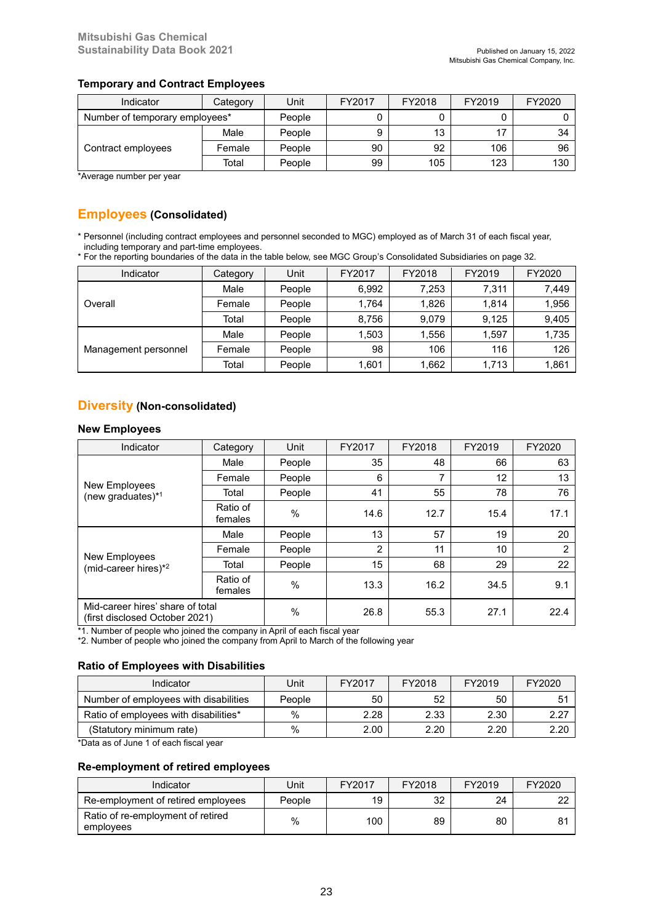### **Temporary and Contract Employees**

| Indicator                      | Category | Unit   | FY2017 | FY2018 | FY2019 | FY2020 |
|--------------------------------|----------|--------|--------|--------|--------|--------|
| Number of temporary employees* |          | People |        |        |        |        |
| Contract employees             | Male     | People |        | 13     |        | 34     |
|                                | Female   | People | 90     | 92     | 106    | 96     |
|                                | Total    | People | 99     | 105    | 123    | 130    |

\*Average number per year

# **Employees (Consolidated)**

\* Personnel (including contract employees and personnel seconded to MGC) employed as of March 31 of each fiscal year, including temporary and part-time employees.

\* For the reporting boundaries of the data in the table below, see MGC Group's Consolidated Subsidiaries on page 32.

| Indicator            | Category | Unit   | FY2017 | FY2018 | FY2019 | FY2020 |
|----------------------|----------|--------|--------|--------|--------|--------|
|                      | Male     | People | 6,992  | 7,253  | 7,311  | 7,449  |
| Overall              | Female   | People | 1.764  | 1,826  | 1.814  | 1,956  |
|                      | Total    | People | 8,756  | 9.079  | 9.125  | 9,405  |
| Management personnel | Male     | People | 1,503  | 1.556  | 1,597  | 1,735  |
|                      | Female   | People | 98     | 106    | 116    | 126    |
|                      | Total    | People | 1,601  | 1.662  | 1,713  | 1,861  |

# **Diversity (Non-consolidated)**

### **New Employees**

| Indicator                                                          | Category            | Unit          | FY2017 | FY2018 | FY2019 | FY2020 |
|--------------------------------------------------------------------|---------------------|---------------|--------|--------|--------|--------|
|                                                                    | Male                | People        | 35     | 48     | 66     | 63     |
| New Employees                                                      | Female              | People        | 6      | 7      | 12     | 13     |
| (new graduates)*1                                                  | Total               | People        | 41     | 55     | 78     | 76     |
|                                                                    | Ratio of<br>females | $\%$          | 14.6   | 12.7   | 15.4   | 17.1   |
|                                                                    | Male                | People        | 13     | 57     | 19     | 20     |
|                                                                    | Female              | People        | 2      | 11     | 10     | 2      |
| New Employees<br>(mid-career hires)*2                              | Total               | People        | 15     | 68     | 29     | 22     |
|                                                                    | Ratio of<br>females | $\frac{0}{0}$ | 13.3   | 16.2   | 34.5   | 9.1    |
| Mid-career hires' share of total<br>(first disclosed October 2021) |                     | %             | 26.8   | 55.3   | 27.1   | 22.4   |

\*1. Number of people who joined the company in April of each fiscal year

\*2. Number of people who joined the company from April to March of the following year

### **Ratio of Employees with Disabilities**

| Jnit   | FY2017 | FY2018 | FY2019 | FY2020 |
|--------|--------|--------|--------|--------|
| People | 50     | 52     | 50     | -51    |
| $\%$   | 2.28   | 2.33   | 2.30   | 2.27   |
| %      | 2.00   | 2.20   | 2.20   | 2.20   |
|        |        |        |        |        |

\*Data as of June 1 of each fiscal year

#### **Re-employment of retired employees**

| Indicator                                      | Unit   | FY2017 | FY2018 | FY2019 | FY2020 |
|------------------------------------------------|--------|--------|--------|--------|--------|
| Re-employment of retired employees             | People | 19     | 32     | 24     | nn     |
| Ratio of re-employment of retired<br>employees | %      | 100    | 89     | 80     | 81     |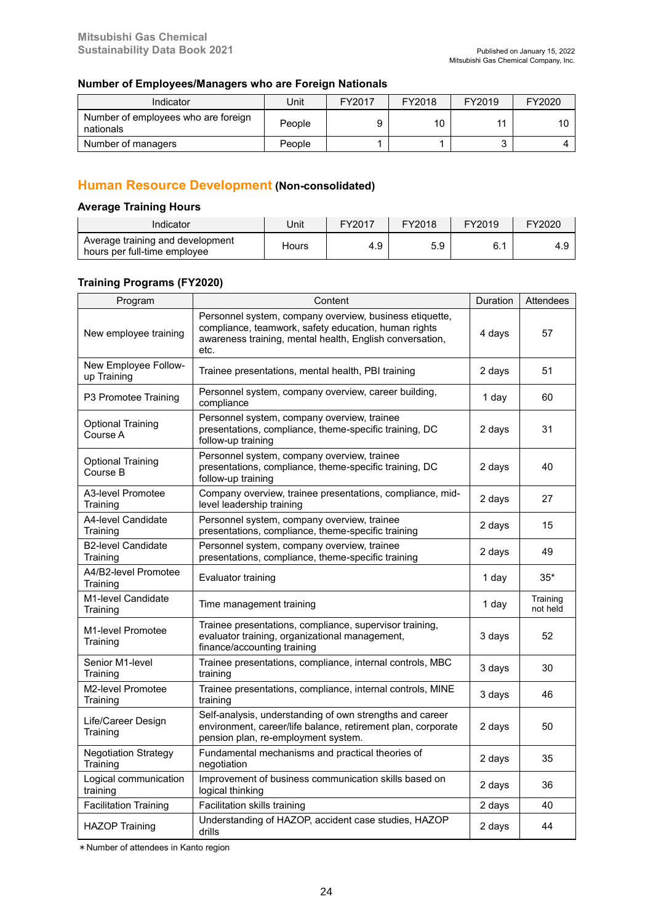### **Number of Employees/Managers who are Foreign Nationals**

| Indicator                                        | Jnit   | FY2017 | FY2018 | FY2019 | FY2020 |
|--------------------------------------------------|--------|--------|--------|--------|--------|
| Number of employees who are foreign<br>nationals | People |        | 10     | 11     | 10     |
| Number of managers                               | People |        |        | ື      |        |

# **Human Resource Development (Non-consolidated)**

### **Average Training Hours**

| Indicator                                                        | Jnit  | FY2017 | FY2018 | FY2019 | FY2020 |
|------------------------------------------------------------------|-------|--------|--------|--------|--------|
| Average training and development<br>hours per full-time employee | Hours | 4.9    | 5.9    | ◡.     | - 4.১  |

### **Training Programs (FY2020)**

| Program                                 | Content                                                                                                                                                                             | Duration | <b>Attendees</b>     |
|-----------------------------------------|-------------------------------------------------------------------------------------------------------------------------------------------------------------------------------------|----------|----------------------|
| New employee training                   | Personnel system, company overview, business etiquette,<br>compliance, teamwork, safety education, human rights<br>awareness training, mental health, English conversation,<br>etc. | 4 days   | 57                   |
| New Employee Follow-<br>up Training     | Trainee presentations, mental health, PBI training                                                                                                                                  | 2 days   | 51                   |
| P3 Promotee Training                    | Personnel system, company overview, career building,<br>compliance                                                                                                                  | 1 day    | 60                   |
| <b>Optional Training</b><br>Course A    | Personnel system, company overview, trainee<br>presentations, compliance, theme-specific training, DC<br>follow-up training                                                         | 2 days   | 31                   |
| <b>Optional Training</b><br>Course B    | Personnel system, company overview, trainee<br>presentations, compliance, theme-specific training, DC<br>follow-up training                                                         | 2 days   | 40                   |
| A3-level Promotee<br>Training           | Company overview, trainee presentations, compliance, mid-<br>level leadership training                                                                                              | 2 days   | 27                   |
| A4-level Candidate<br>Training          | Personnel system, company overview, trainee<br>presentations, compliance, theme-specific training                                                                                   | 2 days   | 15                   |
| <b>B2-level Candidate</b><br>Training   | Personnel system, company overview, trainee<br>presentations, compliance, theme-specific training                                                                                   | 2 days   | 49                   |
| A4/B2-level Promotee<br>Training        | Evaluator training                                                                                                                                                                  | 1 day    | $35*$                |
| M1-level Candidate<br>Training          | Time management training                                                                                                                                                            | 1 day    | Training<br>not held |
| M1-level Promotee<br>Training           | Trainee presentations, compliance, supervisor training,<br>evaluator training, organizational management,<br>finance/accounting training                                            | 3 days   | 52                   |
| Senior M1-level<br>Training             | Trainee presentations, compliance, internal controls, MBC<br>training                                                                                                               | 3 days   | 30                   |
| M2-level Promotee<br>Training           | Trainee presentations, compliance, internal controls, MINE<br>training                                                                                                              | 3 days   | 46                   |
| Life/Career Design<br>Training          | Self-analysis, understanding of own strengths and career<br>environment, career/life balance, retirement plan, corporate<br>pension plan, re-employment system.                     | 2 days   | 50                   |
| <b>Negotiation Strategy</b><br>Training | Fundamental mechanisms and practical theories of<br>negotiation                                                                                                                     | 2 days   | 35                   |
| Logical communication<br>training       | Improvement of business communication skills based on<br>logical thinking                                                                                                           | 2 days   | 36                   |
| <b>Facilitation Training</b>            | Facilitation skills training                                                                                                                                                        | 2 days   | 40                   |
| <b>HAZOP Training</b>                   | Understanding of HAZOP, accident case studies, HAZOP<br>drills                                                                                                                      | 2 days   | 44                   |

\*Number of attendees in Kanto region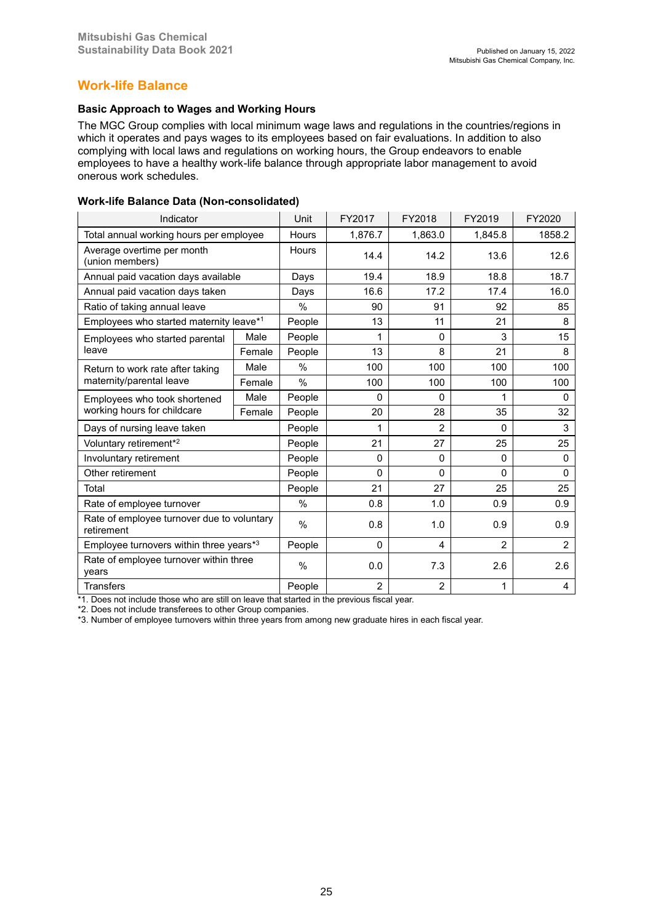# **Work-life Balance**

### **Basic Approach to Wages and Working Hours**

The MGC Group complies with local minimum wage laws and regulations in the countries/regions in which it operates and pays wages to its employees based on fair evaluations. In addition to also complying with local laws and regulations on working hours, the Group endeavors to enable employees to have a healthy work-life balance through appropriate labor management to avoid onerous work schedules.

#### **Work-life Balance Data (Non-consolidated)**

| Indicator                                                |        | Unit          | FY2017         | FY2018         | FY2019         | FY2020         |
|----------------------------------------------------------|--------|---------------|----------------|----------------|----------------|----------------|
| Total annual working hours per employee                  |        | <b>Hours</b>  | 1,876.7        | 1,863.0        | 1,845.8        | 1858.2         |
| Average overtime per month<br>(union members)            |        | Hours         | 14.4           | 14.2           | 13.6           | 12.6           |
| Annual paid vacation days available                      |        | Days          | 19.4           | 18.9           | 18.8           | 18.7           |
| Annual paid vacation days taken                          |        | Days          | 16.6           | 17.2           | 17.4           | 16.0           |
| Ratio of taking annual leave                             |        | $\frac{0}{0}$ | 90             | 91             | 92             | 85             |
| Employees who started maternity leave*1                  |        | People        | 13             | 11             | 21             | 8              |
| Employees who started parental                           | Male   | People        | 1              | $\Omega$       | 3              | 15             |
| leave                                                    | Female | People        | 13             | 8              | 21             | 8              |
| Return to work rate after taking                         | Male   | $\frac{0}{0}$ | 100            | 100            | 100            | 100            |
| maternity/parental leave                                 | Female | $\%$          | 100            | 100            | 100            | 100            |
| Employees who took shortened                             | Male   | People        | $\Omega$       | 0              | 1              | 0              |
| working hours for childcare                              | Female | People        | 20             | 28             | 35             | 32             |
| Days of nursing leave taken                              |        | People        | 1              | $\overline{2}$ | 0              | 3              |
| Voluntary retirement*2                                   |        | People        | 21             | 27             | 25             | 25             |
| Involuntary retirement                                   |        | People        | $\Omega$       | $\Omega$       | $\Omega$       | 0              |
| Other retirement                                         |        | People        | $\Omega$       | $\Omega$       | $\Omega$       | $\mathbf{0}$   |
| Total                                                    |        | People        | 21             | 27             | 25             | 25             |
| Rate of employee turnover                                |        | $\%$          | 0.8            | 1.0            | 0.9            | 0.9            |
| Rate of employee turnover due to voluntary<br>retirement |        | $\%$          | 0.8            | 1.0            | 0.9            | 0.9            |
| Employee turnovers within three years*3                  |        | People        | $\Omega$       | 4              | $\overline{2}$ | $\overline{2}$ |
| Rate of employee turnover within three<br>years          |        | %             | 0.0            | 7.3            | 2.6            | 2.6            |
| <b>Transfers</b>                                         |        | People        | $\overline{c}$ | $\overline{2}$ | 1              | 4              |

\*1. Does not include those who are still on leave that started in the previous fiscal year.

\*2. Does not include transferees to other Group companies.

\*3. Number of employee turnovers within three years from among new graduate hires in each fiscal year.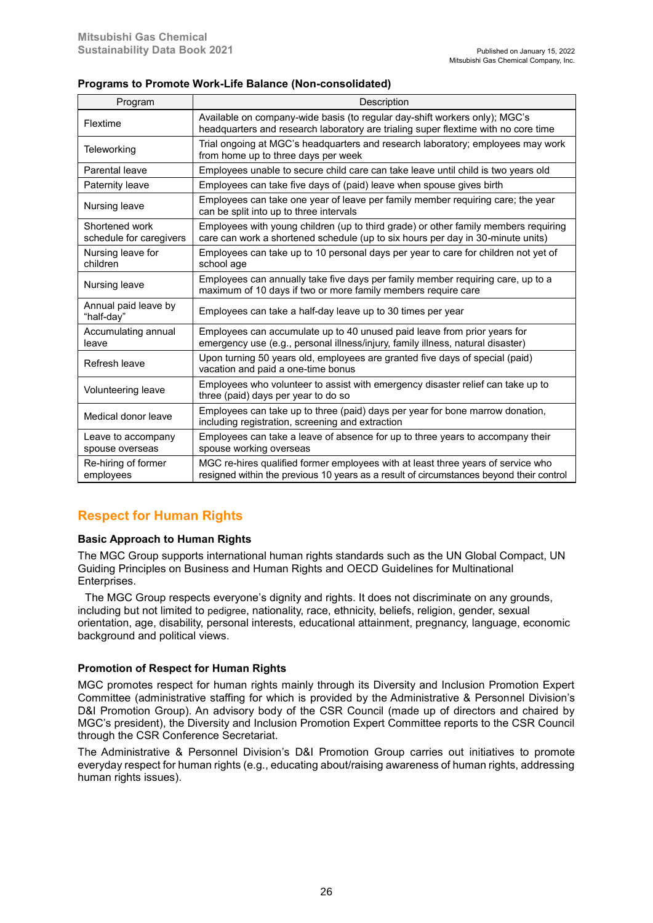### **Programs to Promote Work-Life Balance (Non-consolidated)**

| Program                                   | Description                                                                                                                                                                 |
|-------------------------------------------|-----------------------------------------------------------------------------------------------------------------------------------------------------------------------------|
| Flextime                                  | Available on company-wide basis (to regular day-shift workers only); MGC's<br>headquarters and research laboratory are trialing super flextime with no core time            |
| Teleworking                               | Trial ongoing at MGC's headguarters and research laboratory; employees may work<br>from home up to three days per week                                                      |
| Parental leave                            | Employees unable to secure child care can take leave until child is two years old                                                                                           |
| Paternity leave                           | Employees can take five days of (paid) leave when spouse gives birth                                                                                                        |
| Nursing leave                             | Employees can take one year of leave per family member requiring care; the year<br>can be split into up to three intervals                                                  |
| Shortened work<br>schedule for caregivers | Employees with young children (up to third grade) or other family members requiring<br>care can work a shortened schedule (up to six hours per day in 30-minute units)      |
| Nursing leave for<br>children             | Employees can take up to 10 personal days per year to care for children not yet of<br>school age                                                                            |
| Nursing leave                             | Employees can annually take five days per family member requiring care, up to a<br>maximum of 10 days if two or more family members require care                            |
| Annual paid leave by<br>"half-day"        | Employees can take a half-day leave up to 30 times per year                                                                                                                 |
| Accumulating annual<br>leave              | Employees can accumulate up to 40 unused paid leave from prior years for<br>emergency use (e.g., personal illness/injury, family illness, natural disaster)                 |
| Refresh leave                             | Upon turning 50 years old, employees are granted five days of special (paid)<br>vacation and paid a one-time bonus                                                          |
| Volunteering leave                        | Employees who volunteer to assist with emergency disaster relief can take up to<br>three (paid) days per year to do so                                                      |
| Medical donor leave                       | Employees can take up to three (paid) days per year for bone marrow donation,<br>including registration, screening and extraction                                           |
| Leave to accompany<br>spouse overseas     | Employees can take a leave of absence for up to three years to accompany their<br>spouse working overseas                                                                   |
| Re-hiring of former<br>employees          | MGC re-hires qualified former employees with at least three years of service who<br>resigned within the previous 10 years as a result of circumstances beyond their control |

# **Respect for Human Rights**

### **Basic Approach to Human Rights**

The MGC Group supports international human rights standards such as the UN Global Compact, UN Guiding Principles on Business and Human Rights and OECD Guidelines for Multinational Enterprises.

The MGC Group respects everyone's dignity and rights. It does not discriminate on any grounds, including but not limited to pedigree, nationality, race, ethnicity, beliefs, religion, gender, sexual orientation, age, disability, personal interests, educational attainment, pregnancy, language, economic background and political views.

### **Promotion of Respect for Human Rights**

MGC promotes respect for human rights mainly through its Diversity and Inclusion Promotion Expert Committee (administrative staffing for which is provided by the Administrative & Personnel Division's D&I Promotion Group). An advisory body of the CSR Council (made up of directors and chaired by MGC's president), the Diversity and Inclusion Promotion Expert Committee reports to the CSR Council through the CSR Conference Secretariat.

The Administrative & Personnel Division's D&I Promotion Group carries out initiatives to promote everyday respect for human rights (e.g., educating about/raising awareness of human rights, addressing human rights issues).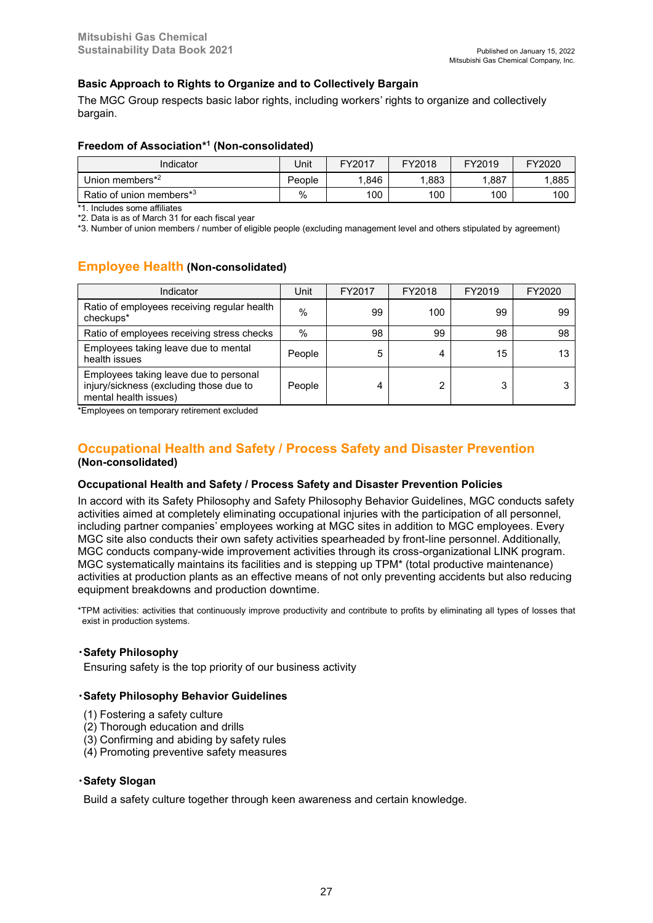### **Basic Approach to Rights to Organize and to Collectively Bargain**

The MGC Group respects basic labor rights, including workers' rights to organize and collectively bargain.

### **Freedom of Association\* 1 (Non-consolidated)**

| Indicator                            | Jnit   | FY2017 | FY2018 | FY2019 | FY2020 |
|--------------------------------------|--------|--------|--------|--------|--------|
| Union members*2                      | People | .846   | .883   | .887   | .885   |
| Ratio of union members <sup>*3</sup> | $\%$   | 100    | 100    | 100    | 100    |

\*1. Includes some affiliates

\*2. Data is as of March 31 for each fiscal year

\*3. Number of union members / number of eligible people (excluding management level and others stipulated by agreement)

# **Employee Health (Non-consolidated)**

| Indicator                                                                                                  | Unit   | FY2017 | FY2018 | FY2019 | FY2020 |
|------------------------------------------------------------------------------------------------------------|--------|--------|--------|--------|--------|
| Ratio of employees receiving regular health<br>checkups*                                                   | $\%$   | 99     | 100    | 99     | 99     |
| Ratio of employees receiving stress checks                                                                 | %      | 98     | 99     | 98     | 98     |
| Employees taking leave due to mental<br>health issues                                                      | People | 5      | 4      | 15     | 13     |
| Employees taking leave due to personal<br>injury/sickness (excluding those due to<br>mental health issues) | People | Δ      | ∩      | 3      |        |

\*Employees on temporary retirement excluded

# **Occupational Health and Safety / Process Safety and Disaster Prevention (Non-consolidated)**

### **Occupational Health and Safety / Process Safety and Disaster Prevention Policies**

In accord with its Safety Philosophy and Safety Philosophy Behavior Guidelines, MGC conducts safety activities aimed at completely eliminating occupational injuries with the participation of all personnel, including partner companies' employees working at MGC sites in addition to MGC employees. Every MGC site also conducts their own safety activities spearheaded by front-line personnel. Additionally, MGC conducts company-wide improvement activities through its cross-organizational LINK program. MGC systematically maintains its facilities and is stepping up TPM\* (total productive maintenance) activities at production plants as an effective means of not only preventing accidents but also reducing equipment breakdowns and production downtime.

\*TPM activities: activities that continuously improve productivity and contribute to profits by eliminating all types of losses that exist in production systems.

### **・Safety Philosophy**

Ensuring safety is the top priority of our business activity

#### **・Safety Philosophy Behavior Guidelines**

- (1) Fostering a safety culture
- (2) Thorough education and drills
- (3) Confirming and abiding by safety rules
- (4) Promoting preventive safety measures

#### **・Safety Slogan**

Build a safety culture together through keen awareness and certain knowledge.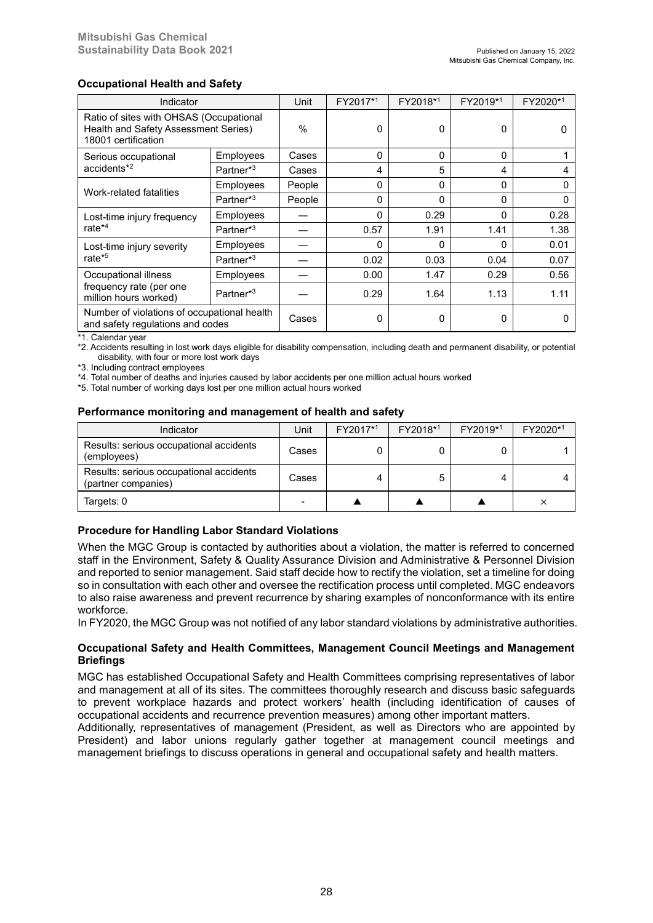### **Occupational Health and Safety**

| Indicator                                                                                              |                       | Unit          | FY2017*1 | FY2018*1 | FY2019*1     | FY2020*1 |
|--------------------------------------------------------------------------------------------------------|-----------------------|---------------|----------|----------|--------------|----------|
| Ratio of sites with OHSAS (Occupational<br>Health and Safety Assessment Series)<br>18001 certification |                       | $\frac{0}{0}$ | $\Omega$ | 0        | 0            |          |
| Serious occupational                                                                                   | Employees             | Cases         | $\Omega$ | 0        | $\mathbf{0}$ |          |
| $accidents*2$                                                                                          | Partner*3             | Cases         | 4        | 5        | 4            | 4        |
| Work-related fatalities                                                                                | Employees             | People        | $\Omega$ | 0        | $\mathbf{0}$ | O        |
|                                                                                                        | Partner <sup>*3</sup> | People        | $\Omega$ | 0        | $\mathbf{0}$ |          |
| Lost-time injury frequency                                                                             | Employees             |               | $\Omega$ | 0.29     | $\Omega$     | 0.28     |
| rate <sup>*4</sup>                                                                                     | Partner*3             |               | 0.57     | 1.91     | 1.41         | 1.38     |
| Lost-time injury severity                                                                              | Employees             |               | 0        | 0        | 0            | 0.01     |
| rate <sup>*5</sup>                                                                                     | Partner <sup>*3</sup> |               | 0.02     | 0.03     | 0.04         | 0.07     |
| Occupational illness                                                                                   | Employees             |               | 0.00     | 1.47     | 0.29         | 0.56     |
| frequency rate (per one<br>million hours worked)                                                       | Partner*3             |               | 0.29     | 1.64     | 1.13         | 1.11     |
| Number of violations of occupational health<br>and safety regulations and codes                        |                       | Cases         | $\Omega$ | 0        | $\mathbf{0}$ |          |

\*1. Calendar year

\*2. Accidents resulting in lost work days eligible for disability compensation, including death and permanent disability, or potential disability, with four or more lost work days

\*3. Including contract employees

\*4. Total number of deaths and injuries caused by labor accidents per one million actual hours worked

\*5. Total number of working days lost per one million actual hours worked

#### **Performance monitoring and management of health and safety**

| Indicator                                                      | Unit  | FY2017*1 | FY2018*1 | FY2019*1 | FY2020*1 |
|----------------------------------------------------------------|-------|----------|----------|----------|----------|
| Results: serious occupational accidents<br>(employees)         | Cases |          |          |          |          |
| Results: serious occupational accidents<br>(partner companies) | Cases |          |          |          |          |
| Targets: 0                                                     |       |          |          |          | ×        |

### **Procedure for Handling Labor Standard Violations**

When the MGC Group is contacted by authorities about a violation, the matter is referred to concerned staff in the Environment, Safety & Quality Assurance Division and Administrative & Personnel Division and reported to senior management. Said staff decide how to rectify the violation, set a timeline for doing so in consultation with each other and oversee the rectification process until completed. MGC endeavors to also raise awareness and prevent recurrence by sharing examples of nonconformance with its entire workforce.

In FY2020, the MGC Group was not notified of any labor standard violations by administrative authorities.

### **Occupational Safety and Health Committees, Management Council Meetings and Management Briefings**

MGC has established Occupational Safety and Health Committees comprising representatives of labor and management at all of its sites. The committees thoroughly research and discuss basic safeguards to prevent workplace hazards and protect workers' health (including identification of causes of occupational accidents and recurrence prevention measures) among other important matters.

Additionally, representatives of management (President, as well as Directors who are appointed by President) and labor unions regularly gather together at management council meetings and management briefings to discuss operations in general and occupational safety and health matters.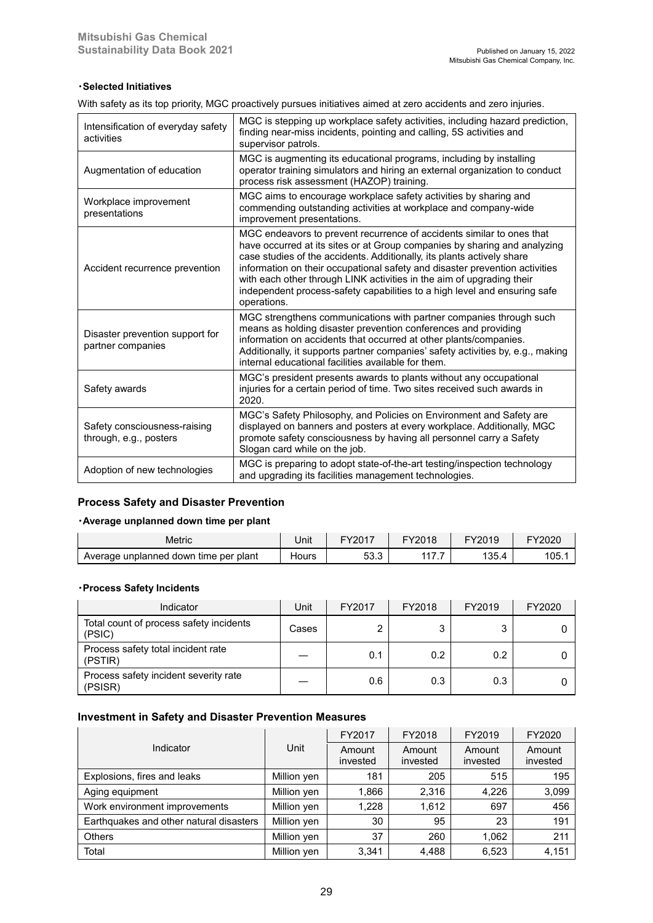#### **・Selected Initiatives**

With safety as its top priority, MGC proactively pursues initiatives aimed at zero accidents and zero injuries.

| Intensification of everyday safety<br>activities       | MGC is stepping up workplace safety activities, including hazard prediction,<br>finding near-miss incidents, pointing and calling, 5S activities and<br>supervisor patrols.                                                                                                                                                                                                                                                                                                      |
|--------------------------------------------------------|----------------------------------------------------------------------------------------------------------------------------------------------------------------------------------------------------------------------------------------------------------------------------------------------------------------------------------------------------------------------------------------------------------------------------------------------------------------------------------|
| Augmentation of education                              | MGC is augmenting its educational programs, including by installing<br>operator training simulators and hiring an external organization to conduct<br>process risk assessment (HAZOP) training.                                                                                                                                                                                                                                                                                  |
| Workplace improvement<br>presentations                 | MGC aims to encourage workplace safety activities by sharing and<br>commending outstanding activities at workplace and company-wide<br>improvement presentations.                                                                                                                                                                                                                                                                                                                |
| Accident recurrence prevention                         | MGC endeavors to prevent recurrence of accidents similar to ones that<br>have occurred at its sites or at Group companies by sharing and analyzing<br>case studies of the accidents. Additionally, its plants actively share<br>information on their occupational safety and disaster prevention activities<br>with each other through LINK activities in the aim of upgrading their<br>independent process-safety capabilities to a high level and ensuring safe<br>operations. |
| Disaster prevention support for<br>partner companies   | MGC strengthens communications with partner companies through such<br>means as holding disaster prevention conferences and providing<br>information on accidents that occurred at other plants/companies.<br>Additionally, it supports partner companies' safety activities by, e.g., making<br>internal educational facilities available for them.                                                                                                                              |
| Safety awards                                          | MGC's president presents awards to plants without any occupational<br>injuries for a certain period of time. Two sites received such awards in<br>2020.                                                                                                                                                                                                                                                                                                                          |
| Safety consciousness-raising<br>through, e.g., posters | MGC's Safety Philosophy, and Policies on Environment and Safety are<br>displayed on banners and posters at every workplace. Additionally, MGC<br>promote safety consciousness by having all personnel carry a Safety<br>Slogan card while on the job.                                                                                                                                                                                                                            |
| Adoption of new technologies                           | MGC is preparing to adopt state-of-the-art testing/inspection technology<br>and upgrading its facilities management technologies.                                                                                                                                                                                                                                                                                                                                                |

### **Process Safety and Disaster Prevention**

#### **・Average unplanned down time per plant**

| Metric                                | Jnit  | FY2017                    | FY2018                   | FY2019 | FY2020 |
|---------------------------------------|-------|---------------------------|--------------------------|--------|--------|
| Average unplanned down time per plant | Hours | $ \sim$<br>$\sim$<br>აა.ა | $\lambda \lambda$<br>. . | 135.4  | 105.   |

#### **・Process Safety Incidents**

| Indicator                                         | Jnit  | FY2017 | FY2018 | FY2019 | FY2020 |
|---------------------------------------------------|-------|--------|--------|--------|--------|
| Total count of process safety incidents<br>(PSIC) | Cases |        | J      |        |        |
| Process safety total incident rate<br>(PSTIR)     |       | 0.1    | 0.2    | 0.2    |        |
| Process safety incident severity rate<br>(PSISR)  |       | 0.6    | 0.3    | 0.3    |        |

### **Investment in Safety and Disaster Prevention Measures**

|                                         |             | FY2017             | FY2018             | FY2019             | FY2020             |
|-----------------------------------------|-------------|--------------------|--------------------|--------------------|--------------------|
| Indicator                               | Unit        | Amount<br>invested | Amount<br>invested | Amount<br>invested | Amount<br>invested |
| Explosions, fires and leaks             | Million yen | 181                | 205                | 515                | 195                |
| Aging equipment                         | Million yen | 1,866              | 2,316              | 4,226              | 3,099              |
| Work environment improvements           | Million yen | 1,228              | 1.612              | 697                | 456                |
| Earthquakes and other natural disasters | Million yen | 30                 | 95                 | 23                 | 191                |
| <b>Others</b>                           | Million yen | 37                 | 260                | 1.062              | 211                |
| Total                                   | Million yen | 3,341              | 4,488              | 6,523              | 4,151              |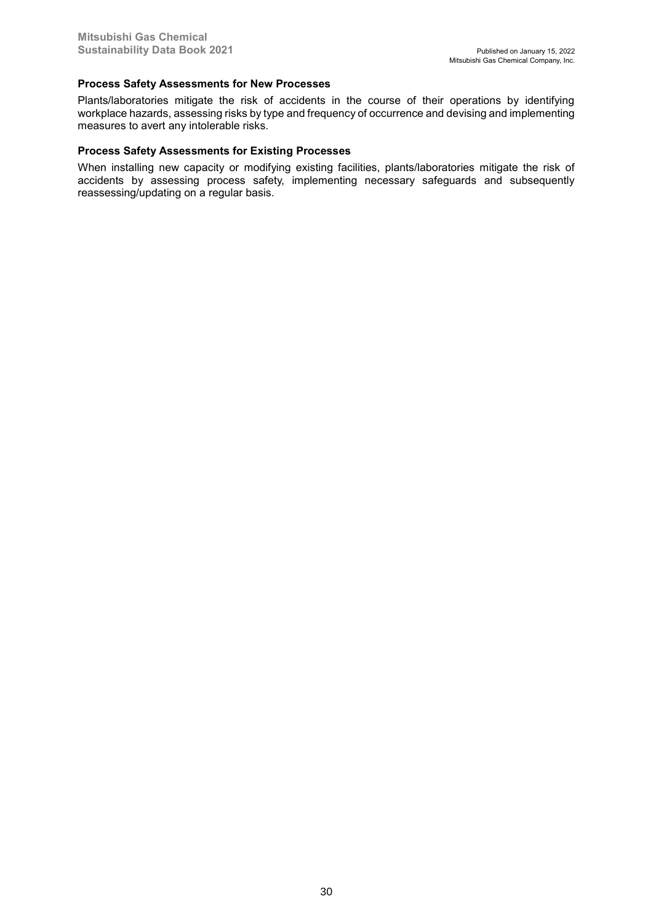#### **Process Safety Assessments for New Processes**

Plants/laboratories mitigate the risk of accidents in the course of their operations by identifying workplace hazards, assessing risks by type and frequency of occurrence and devising and implementing measures to avert any intolerable risks.

#### **Process Safety Assessments for Existing Processes**

When installing new capacity or modifying existing facilities, plants/laboratories mitigate the risk of accidents by assessing process safety, implementing necessary safeguards and subsequently reassessing/updating on a regular basis.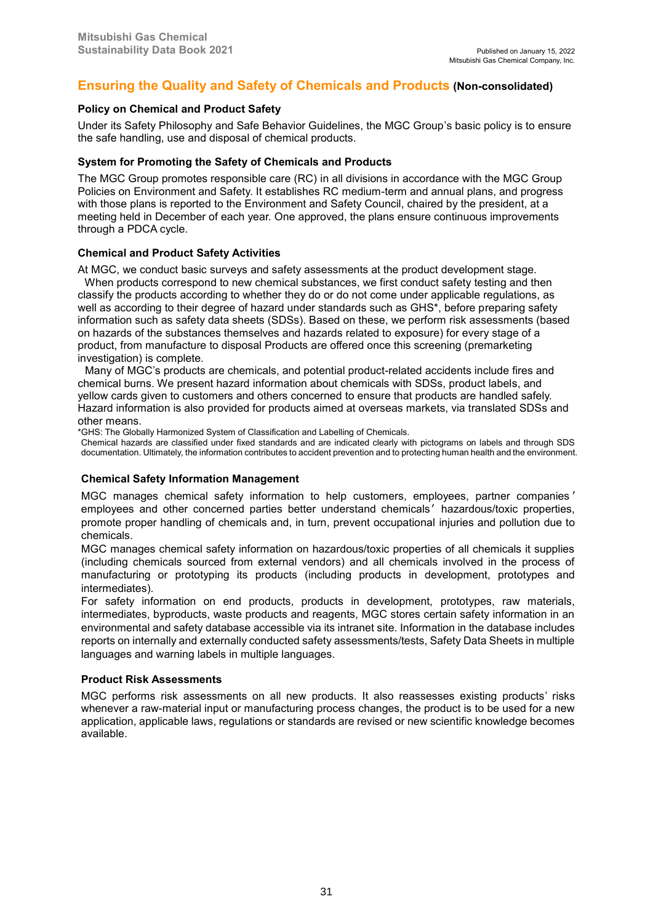# **Ensuring the Quality and Safety of Chemicals and Products (Non-consolidated)**

### **Policy on Chemical and Product Safety**

Under its Safety Philosophy and Safe Behavior Guidelines, the MGC Group's basic policy is to ensure the safe handling, use and disposal of chemical products.

### **System for Promoting the Safety of Chemicals and Products**

The MGC Group promotes responsible care (RC) in all divisions in accordance with the MGC Group Policies on Environment and Safety. It establishes RC medium-term and annual plans, and progress with those plans is reported to the Environment and Safety Council, chaired by the president, at a meeting held in December of each year. One approved, the plans ensure continuous improvements through a PDCA cycle.

### **Chemical and Product Safety Activities**

At MGC, we conduct basic surveys and safety assessments at the product development stage. When products correspond to new chemical substances, we first conduct safety testing and then classify the products according to whether they do or do not come under applicable regulations, as well as according to their degree of hazard under standards such as GHS\*, before preparing safety information such as safety data sheets (SDSs). Based on these, we perform risk assessments (based on hazards of the substances themselves and hazards related to exposure) for every stage of a product, from manufacture to disposal Products are offered once this screening (premarketing investigation) is complete.

Many of MGC's products are chemicals, and potential product-related accidents include fires and chemical burns. We present hazard information about chemicals with SDSs, product labels, and yellow cards given to customers and others concerned to ensure that products are handled safely. Hazard information is also provided for products aimed at overseas markets, via translated SDSs and other means.

\*GHS: The Globally Harmonized System of Classification and Labelling of Chemicals.

Chemical hazards are classified under fixed standards and are indicated clearly with pictograms on labels and through SDS documentation. Ultimately, the information contributes to accident prevention and to protecting human health and the environment.

#### **Chemical Safety Information Management**

MGC manages chemical safety information to help customers, employees, partner companies ' employees and other concerned parties better understand chemicals' hazardous/toxic properties, promote proper handling of chemicals and, in turn, prevent occupational injuries and pollution due to chemicals.

MGC manages chemical safety information on hazardous/toxic properties of all chemicals it supplies (including chemicals sourced from external vendors) and all chemicals involved in the process of manufacturing or prototyping its products (including products in development, prototypes and intermediates).

For safety information on end products, products in development, prototypes, raw materials, intermediates, byproducts, waste products and reagents, MGC stores certain safety information in an environmental and safety database accessible via its intranet site. Information in the database includes reports on internally and externally conducted safety assessments/tests, Safety Data Sheets in multiple languages and warning labels in multiple languages.

#### **Product Risk Assessments**

MGC performs risk assessments on all new products. It also reassesses existing products' risks whenever a raw-material input or manufacturing process changes, the product is to be used for a new application, applicable laws, regulations or standards are revised or new scientific knowledge becomes available.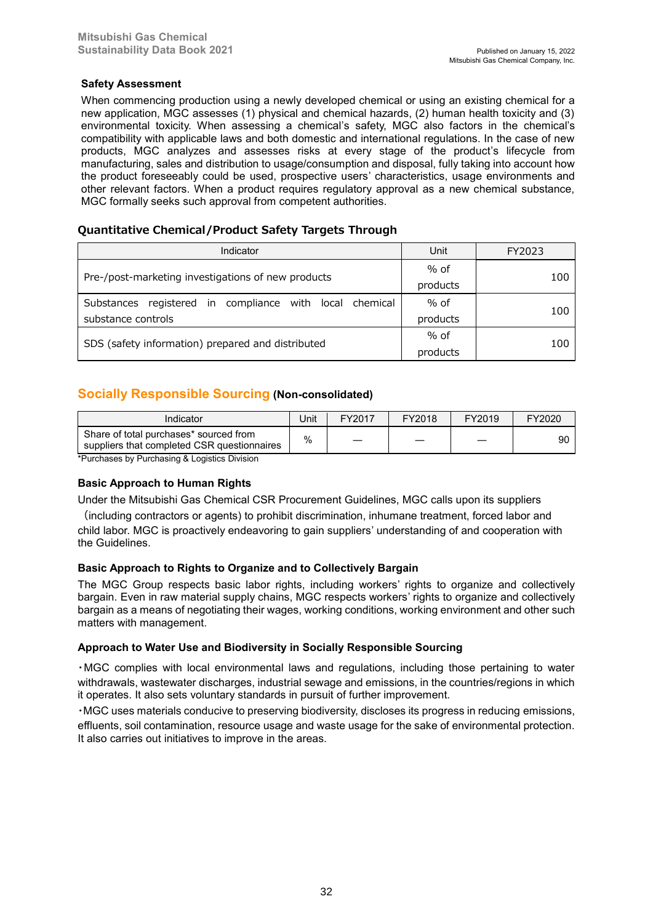### **Safety Assessment**

When commencing production using a newly developed chemical or using an existing chemical for a new application, MGC assesses (1) physical and chemical hazards, (2) human health toxicity and (3) environmental toxicity. When assessing a chemical's safety, MGC also factors in the chemical's compatibility with applicable laws and both domestic and international regulations. In the case of new products, MGC analyzes and assesses risks at every stage of the product's lifecycle from manufacturing, sales and distribution to usage/consumption and disposal, fully taking into account how the product foreseeably could be used, prospective users' characteristics, usage environments and other relevant factors. When a product requires regulatory approval as a new chemical substance, MGC formally seeks such approval from competent authorities.

### **Quantitative Chemical/Product Safety Targets Through**

| Indicator                                                  | Unit     | FY2023 |
|------------------------------------------------------------|----------|--------|
|                                                            | $%$ of   |        |
| Pre-/post-marketing investigations of new products         | products | 100    |
| registered in compliance with local chemical<br>Substances | $%$ of   |        |
| substance controls                                         | products | 100    |
|                                                            | $%$ of   |        |
| SDS (safety information) prepared and distributed          | products | 100    |

# **Socially Responsible Sourcing (Non-consolidated)**

| Indicator                                                                             | Jnit | FY2017 | FY2018 | FY2019 | FY2020 |
|---------------------------------------------------------------------------------------|------|--------|--------|--------|--------|
| Share of total purchases* sourced from<br>suppliers that completed CSR questionnaires | %    |        |        |        | 90     |

\*Purchases by Purchasing & Logistics Division

### **Basic Approach to Human Rights**

Under the Mitsubishi Gas Chemical CSR Procurement Guidelines, MGC calls upon its suppliers

(including contractors or agents) to prohibit discrimination, inhumane treatment, forced labor and child labor. MGC is proactively endeavoring to gain suppliers' understanding of and cooperation with the Guidelines.

### **Basic Approach to Rights to Organize and to Collectively Bargain**

The MGC Group respects basic labor rights, including workers' rights to organize and collectively bargain. Even in raw material supply chains, MGC respects workers' rights to organize and collectively bargain as a means of negotiating their wages, working conditions, working environment and other such matters with management.

### **Approach to Water Use and Biodiversity in Socially Responsible Sourcing**

・MGC complies with local environmental laws and regulations, including those pertaining to water withdrawals, wastewater discharges, industrial sewage and emissions, in the countries/regions in which it operates. It also sets voluntary standards in pursuit of further improvement.

・MGC uses materials conducive to preserving biodiversity, discloses its progress in reducing emissions, effluents, soil contamination, resource usage and waste usage for the sake of environmental protection. It also carries out initiatives to improve in the areas.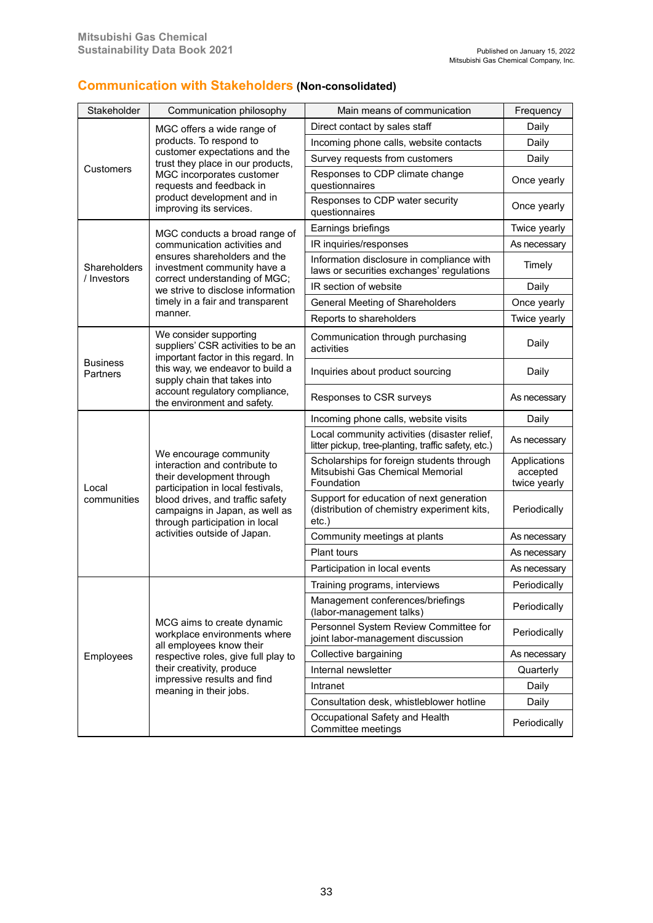| Stakeholder                 | Communication philosophy                                                                                                                                                                                                          | Main means of communication                                                                         | Frequency                                |
|-----------------------------|-----------------------------------------------------------------------------------------------------------------------------------------------------------------------------------------------------------------------------------|-----------------------------------------------------------------------------------------------------|------------------------------------------|
|                             | MGC offers a wide range of                                                                                                                                                                                                        | Direct contact by sales staff                                                                       | Daily                                    |
|                             | products. To respond to                                                                                                                                                                                                           | Incoming phone calls, website contacts                                                              | Daily                                    |
|                             | customer expectations and the<br>trust they place in our products,                                                                                                                                                                | Survey requests from customers                                                                      | Daily                                    |
| Customers                   | MGC incorporates customer<br>requests and feedback in                                                                                                                                                                             | Responses to CDP climate change<br>questionnaires                                                   | Once yearly                              |
|                             | product development and in<br>improving its services.                                                                                                                                                                             | Responses to CDP water security<br>questionnaires                                                   | Once yearly                              |
|                             | MGC conducts a broad range of                                                                                                                                                                                                     | Earnings briefings                                                                                  | Twice yearly                             |
|                             | communication activities and                                                                                                                                                                                                      | IR inquiries/responses                                                                              | As necessary                             |
| Shareholders<br>/ Investors | ensures shareholders and the<br>investment community have a                                                                                                                                                                       | Information disclosure in compliance with<br>laws or securities exchanges' regulations              | Timely                                   |
|                             | correct understanding of MGC;<br>we strive to disclose information                                                                                                                                                                | IR section of website                                                                               | Daily                                    |
|                             | timely in a fair and transparent                                                                                                                                                                                                  | General Meeting of Shareholders                                                                     | Once yearly                              |
|                             | manner.                                                                                                                                                                                                                           | Reports to shareholders                                                                             | Twice yearly                             |
|                             | We consider supporting<br>suppliers' CSR activities to be an<br>important factor in this regard. In                                                                                                                               | Communication through purchasing<br>activities                                                      | Daily                                    |
| <b>Business</b><br>Partners | this way, we endeavor to build a<br>supply chain that takes into                                                                                                                                                                  | Inquiries about product sourcing                                                                    | Daily                                    |
|                             | account regulatory compliance,<br>the environment and safety.                                                                                                                                                                     | Responses to CSR surveys                                                                            | As necessary                             |
|                             |                                                                                                                                                                                                                                   | Incoming phone calls, website visits                                                                | Daily                                    |
|                             |                                                                                                                                                                                                                                   | Local community activities (disaster relief,<br>litter pickup, tree-planting, traffic safety, etc.) | As necessary                             |
| Local                       | We encourage community<br>interaction and contribute to<br>their development through<br>participation in local festivals,<br>blood drives, and traffic safety<br>campaigns in Japan, as well as<br>through participation in local | Scholarships for foreign students through<br>Mitsubishi Gas Chemical Memorial<br>Foundation         | Applications<br>accepted<br>twice yearly |
| communities                 |                                                                                                                                                                                                                                   | Support for education of next generation<br>(distribution of chemistry experiment kits,<br>$etc.$ ) | Periodically                             |
|                             | activities outside of Japan.                                                                                                                                                                                                      | Community meetings at plants                                                                        | As necessary                             |
|                             |                                                                                                                                                                                                                                   | <b>Plant tours</b>                                                                                  | As necessary                             |
|                             |                                                                                                                                                                                                                                   | Participation in local events                                                                       | As necessary                             |
|                             |                                                                                                                                                                                                                                   | Training programs, interviews                                                                       | Periodically                             |
|                             |                                                                                                                                                                                                                                   | Management conferences/briefings<br>(labor-management talks)                                        | Periodically                             |
|                             | MCG aims to create dynamic<br>workplace environments where<br>all employees know their                                                                                                                                            | Personnel System Review Committee for<br>joint labor-management discussion                          | Periodically                             |
| Employees                   | respective roles, give full play to                                                                                                                                                                                               | Collective bargaining                                                                               | As necessary                             |
|                             | their creativity, produce                                                                                                                                                                                                         | Internal newsletter                                                                                 | Quarterly                                |
|                             | impressive results and find<br>meaning in their jobs.                                                                                                                                                                             | Intranet                                                                                            | Daily                                    |
|                             |                                                                                                                                                                                                                                   | Consultation desk, whistleblower hotline                                                            | Daily                                    |
|                             |                                                                                                                                                                                                                                   | Occupational Safety and Health<br>Committee meetings                                                | Periodically                             |

# **Communication with Stakeholders (Non-consolidated)**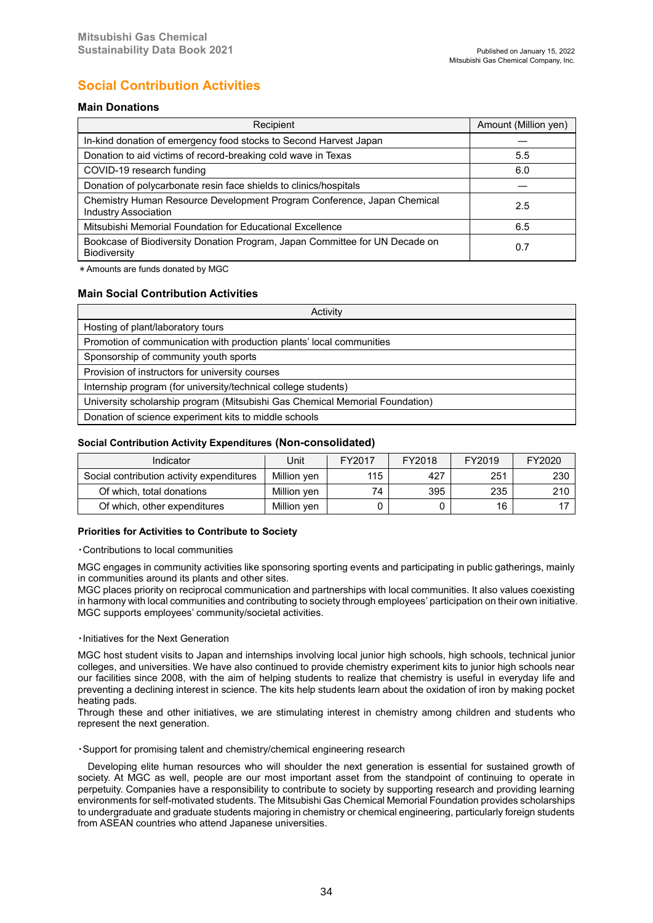# **Social Contribution Activities**

### **Main Donations**

| Recipient                                                                                          | Amount (Million yen) |  |
|----------------------------------------------------------------------------------------------------|----------------------|--|
| In-kind donation of emergency food stocks to Second Harvest Japan                                  |                      |  |
| Donation to aid victims of record-breaking cold wave in Texas                                      | 5.5                  |  |
| COVID-19 research funding                                                                          | 6.0                  |  |
| Donation of polycarbonate resin face shields to clinics/hospitals                                  |                      |  |
| Chemistry Human Resource Development Program Conference, Japan Chemical<br>Industry Association    | 2.5                  |  |
| Mitsubishi Memorial Foundation for Educational Excellence                                          | 6.5                  |  |
| Bookcase of Biodiversity Donation Program, Japan Committee for UN Decade on<br><b>Biodiversity</b> | 0.7                  |  |

\*Amounts are funds donated by MGC

### **Main Social Contribution Activities**

| Activity                                                                     |  |  |  |  |
|------------------------------------------------------------------------------|--|--|--|--|
| Hosting of plant/laboratory tours                                            |  |  |  |  |
| Promotion of communication with production plants' local communities         |  |  |  |  |
| Sponsorship of community youth sports                                        |  |  |  |  |
| Provision of instructors for university courses                              |  |  |  |  |
| Internship program (for university/technical college students)               |  |  |  |  |
| University scholarship program (Mitsubishi Gas Chemical Memorial Foundation) |  |  |  |  |
| Donation of science experiment kits to middle schools                        |  |  |  |  |

#### **Social Contribution Activity Expenditures (Non-consolidated)**

| Indicator                                 | Unit        | FY2017 | FY2018 | FY2019 | FY2020 |
|-------------------------------------------|-------------|--------|--------|--------|--------|
| Social contribution activity expenditures | Million ven | 115    | 427    | 251    | 230    |
| Of which, total donations                 | Million yen | 74     | 395    | 235    | 210    |
| Of which, other expenditures              | Million ven |        |        | 16     |        |

#### **Priorities for Activities to Contribute to Society**

・Contributions to local communities

MGC engages in community activities like sponsoring sporting events and participating in public gatherings, mainly in communities around its plants and other sites.

MGC places priority on reciprocal communication and partnerships with local communities. It also values coexisting in harmony with local communities and contributing to society through employees' participation on their own initiative. MGC supports employees' community/societal activities.

#### ・Initiatives for the Next Generation

MGC host student visits to Japan and internships involving local junior high schools, high schools, technical junior colleges, and universities. We have also continued to provide chemistry experiment kits to junior high schools near our facilities since 2008, with the aim of helping students to realize that chemistry is useful in everyday life and preventing a declining interest in science. The kits help students learn about the oxidation of iron by making pocket heating pads.

Through these and other initiatives, we are stimulating interest in chemistry among children and students who represent the next generation.

・Support for promising talent and chemistry/chemical engineering research

 Developing elite human resources who will shoulder the next generation is essential for sustained growth of society. At MGC as well, people are our most important asset from the standpoint of continuing to operate in perpetuity. Companies have a responsibility to contribute to society by supporting research and providing learning environments for self-motivated students. The Mitsubishi Gas Chemical Memorial Foundation provides scholarships to undergraduate and graduate students majoring in chemistry or chemical engineering, particularly foreign students from ASEAN countries who attend Japanese universities.